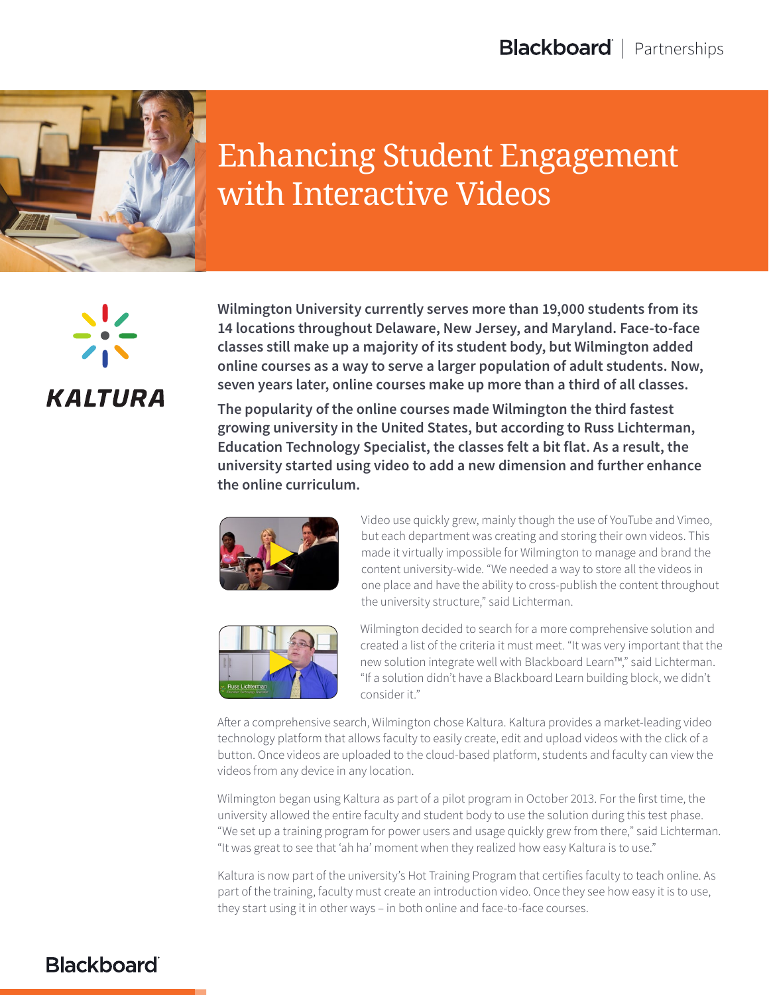

## Enhancing Student Engagement with Interactive Videos



**Wilmington University currently serves more than 19,000 students from its 14 locations throughout Delaware, New Jersey, and Maryland. Face-to-face classes still make up a majority of its student body, but Wilmington added online courses as a way to serve a larger population of adult students. Now, seven years later, online courses make up more than a third of all classes.**

**The popularity of the online courses made Wilmington the third fastest growing university in the United States, but according to Russ Lichterman, Education Technology Specialist, the classes felt a bit flat. As a result, the university started using video to add a new dimension and further enhance the online curriculum.**





Video use quickly grew, mainly though the use of YouTube and Vimeo, but each department was creating and storing their own videos. This made it virtually impossible for Wilmington to manage and brand the content university-wide. "We needed a way to store all the videos in one place and have the ability to cross-publish the content throughout the university structure," said Lichterman.

Wilmington decided to search for a more comprehensive solution and created a list of the criteria it must meet. "It was very important that the new solution integrate well with Blackboard Learn™," said Lichterman. "If a solution didn't have a Blackboard Learn building block, we didn't consider it."

After a comprehensive search, Wilmington chose Kaltura. Kaltura provides a market-leading video technology platform that allows faculty to easily create, edit and upload videos with the click of a button. Once videos are uploaded to the cloud-based platform, students and faculty can view the videos from any device in any location.

Wilmington began using Kaltura as part of a pilot program in October 2013. For the first time, the university allowed the entire faculty and student body to use the solution during this test phase. "We set up a training program for power users and usage quickly grew from there," said Lichterman. "It was great to see that 'ah ha' moment when they realized how easy Kaltura is to use."

Kaltura is now part of the university's Hot Training Program that certifies faculty to teach online. As part of the training, faculty must create an introduction video. Once they see how easy it is to use, they start using it in other ways – in both online and face-to-face courses.

## **Blackboard**